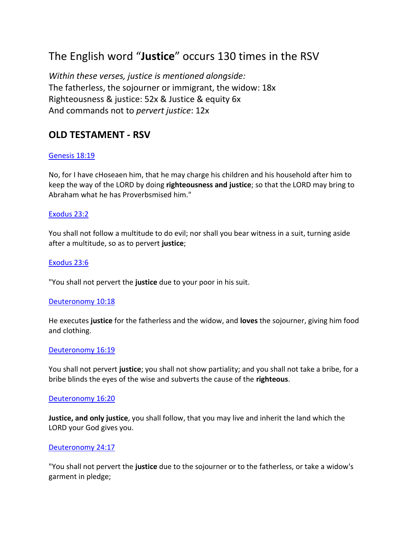# The English word "**Justice**" occurs 130 times in the RSV

*Within these verses, justice is mentioned alongside:* The fatherless, the sojourner or immigrant, the widow: 18x Righteousness & justice: 52x & Justice & equity 6x And commands not to *pervert justice*: 12x

## **OLD TESTAMENT - RSV**

## [Genesis](https://www.blueletterbible.org/rsv/gen/18/19/s_18019) 18:19

No, for I have cHoseaen him, that he may charge his children and his household after him to keep the way of the LORD by doing **righteousness and justice**; so that the LORD may bring to Abraham what he has Proverbsmised him."

## [Exodus](https://www.blueletterbible.org/rsv/exo/23/2/s_73002) 23:2

You shall not follow a multitude to do evil; nor shall you bear witness in a suit, turning aside after a multitude, so as to pervert **justice**;

## [Exodus](https://www.blueletterbible.org/rsv/exo/23/6/s_73006) 23:6

"You shall not pervert the **justice** due to your poor in his suit.

## [Deuteronomy](https://www.blueletterbible.org/rsv/deu/10/18/s_163018) 10:18

He executes **justice** for the fatherless and the widow, and **loves** the sojourner, giving him food and clothing.

#### [Deuteronomy](https://www.blueletterbible.org/rsv/deu/16/19/s_169019) 16:19

You shall not pervert **justice**; you shall not show partiality; and you shall not take a bribe, for a bribe blinds the eyes of the wise and subverts the cause of the **righteous**.

## [Deuteronomy](https://www.blueletterbible.org/rsv/deu/16/20/s_169020) 16:20

**Justice, and only justice**, you shall follow, that you may live and inherit the land which the LORD your God gives you.

## [Deuteronomy](https://www.blueletterbible.org/rsv/deu/24/17/s_177017) 24:17

"You shall not pervert the **justice** due to the sojourner or to the fatherless, or take a widow's garment in pledge;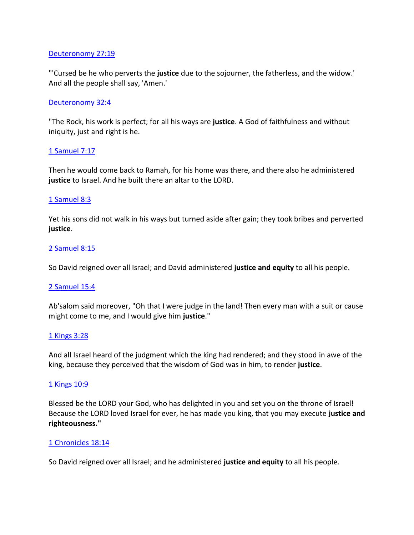## Deuteronomy 27:19

["'Cursed be he who p](https://www.blueletterbible.org/rsv/deu/27/19/s_180019)erverts the **justice** due to the sojourner, the fatherless, and the widow.' And all the people shall say, 'Amen.'

## [Deuteronomy](https://www.blueletterbible.org/rsv/deu/32/4/s_185004) 32:4

"The Rock, his work is perfect; for all his ways are **justice**. A God of faithfulness and without iniquity, just and right is he.

## [1 Samuel](https://www.blueletterbible.org/rsv/1sa/7/17/s_243017) 7:17

Then he would come back to Ramah, for his home was there, and there also he administered **justice** to Israel. And he built there an altar to the LORD.

## [1 Samuel](https://www.blueletterbible.org/rsv/1sa/8/3/s_244003) 8:3

Yet his sons did not walk in his ways but turned aside after gain; they took bribes and perverted **justice**.

## [2 Samuel](https://www.blueletterbible.org/rsv/2sa/8/15/s_275015) 8:15

So David reigned over all Israel; and David administered **justice and equity** to all his people.

## [2 Samuel](https://www.blueletterbible.org/rsv/2sa/15/4/s_282004) 15:4

Ab'salom said moreover, "Oh that I were judge in the land! Then every man with a suit or cause might come to me, and I would give him **justice**."

## [1 Kings](https://www.blueletterbible.org/rsv/1ki/3/28/s_294028) 3:28

And all Israel heard of the judgment which the king had rendered; and they stood in awe of the king, because they perceived that the wisdom of God was in him, to render **justice**.

## [1 Kings](https://www.blueletterbible.org/rsv/1ki/10/9/s_301009) 10:9

Blessed be the LORD your God, who has delighted in you and set you on the throne of Israel! Because the LORD loved Israel for ever, he has made you king, that you may execute **justice and righteousness."**

## [1 Chronicles](https://www.blueletterbible.org/rsv/1ch/18/14/s_356014) 18:14

So David reigned over all Israel; and he administered **justice and equity** to all his people.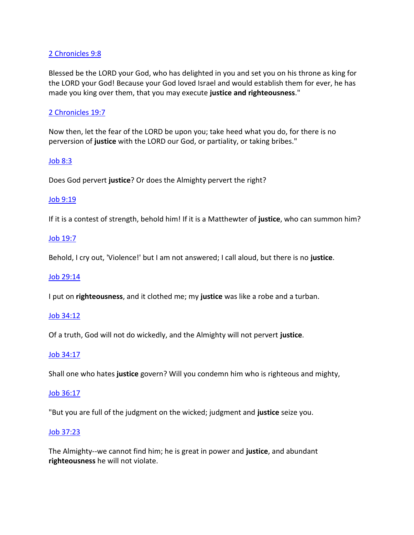## [2 Chronicles](https://www.blueletterbible.org/rsv/2ch/9/8/s_376008) 9:8

Blessed be the LORD your God, who has delighted in you and set you on his throne as king for the LORD your God! Because your God loved Israel and would establish them for ever, he has made you king over them, that you may execute **justice and righteousness**."

## [2 Chronicles](https://www.blueletterbible.org/rsv/2ch/19/7/s_386007) 19:7

Now then, let the fear of the LORD be upon you; take heed what you do, for there is no perversion of **justice** with the LORD our God, or partiality, or taking bribes."

## [Job 8:3](https://www.blueletterbible.org/rsv/job/8/3/s_444003)

Does God pervert **justice**? Or does the Almighty pervert the right?

## [Job 9:19](https://www.blueletterbible.org/rsv/job/9/19/s_445019)

If it is a contest of strength, behold him! If it is a Matthewter of **justice**, who can summon him?

## [Job 19:7](https://www.blueletterbible.org/rsv/job/19/7/s_455007)

Behold, I cry out, 'Violence!' but I am not answered; I call aloud, but there is no **justice**.

## [Job 29:14](https://www.blueletterbible.org/rsv/job/29/14/s_465014)

I put on **righteousness**, and it clothed me; my **justice** was like a robe and a turban.

## [Job 34:12](https://www.blueletterbible.org/rsv/job/34/12/s_470012)

Of a truth, God will not do wickedly, and the Almighty will not pervert **justice**.

## [Job 34:17](https://www.blueletterbible.org/rsv/job/34/17/s_470017)

Shall one who hates **justice** govern? Will you condemn him who is righteous and mighty,

## [Job 36:17](https://www.blueletterbible.org/rsv/job/36/17/s_472017)

"But you are full of the judgment on the wicked; judgment and **justice** seize you.

## [Job 37:23](https://www.blueletterbible.org/rsv/job/37/23/s_473023)

The Almighty--we cannot find him; he is great in power and **justice**, and abundant **righteousness** he will not violate.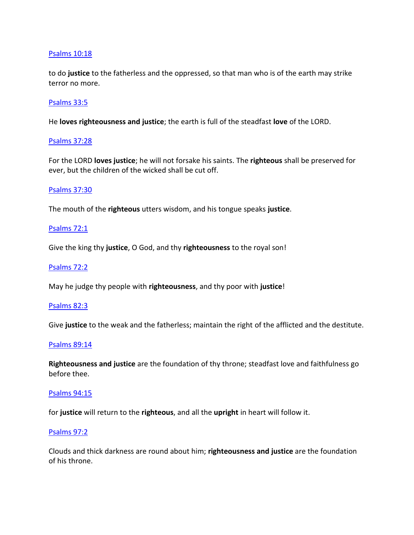## [Psalms](https://www.blueletterbible.org/rsv/psa/10/18/s_488018) 10:18

to do **justice** to the fatherless and the oppressed, so that man who is of the earth may strike terror no more.

## [Psalms](https://www.blueletterbible.org/rsv/psa/33/5/s_511005) 33:5

He **loves righteousness and justice**; the earth is full of the steadfast **love** of the LORD.

## [Psalms](https://www.blueletterbible.org/rsv/psa/37/28/s_515028) 37:28

For the LORD **loves justice**; he will not forsake his saints. The **righteous** shall be preserved for ever, but the children of the wicked shall be cut off.

## [Psalms](https://www.blueletterbible.org/rsv/psa/37/30/s_515030) 37:30

The mouth of the **righteous** utters wisdom, and his tongue speaks **justice**.

## [Psalms](https://www.blueletterbible.org/rsv/psa/72/1/s_550001) 72:1

Give the king thy **justice**, O God, and thy **righteousness** to the royal son!

## [Psalms](https://www.blueletterbible.org/rsv/psa/72/2/s_550002) 72:2

May he judge thy people with **righteousness**, and thy poor with **justice**!

#### [Psalms](https://www.blueletterbible.org/rsv/psa/82/3/s_560003) 82:3

Give **justice** to the weak and the fatherless; maintain the right of the afflicted and the destitute.

#### [Psalms](https://www.blueletterbible.org/rsv/psa/89/14/s_567014) 89:14

**Righteousness and justice** are the foundation of thy throne; steadfast love and faithfulness go before thee.

#### [Psalms](https://www.blueletterbible.org/rsv/psa/94/15/s_572015) 94:15

for **justice** will return to the **righteous**, and all the **upright** in heart will follow it.

#### [Psalms](https://www.blueletterbible.org/rsv/psa/97/2/s_575002) 97:2

Clouds and thick darkness are round about him; **righteousness and justice** are the foundation of his throne.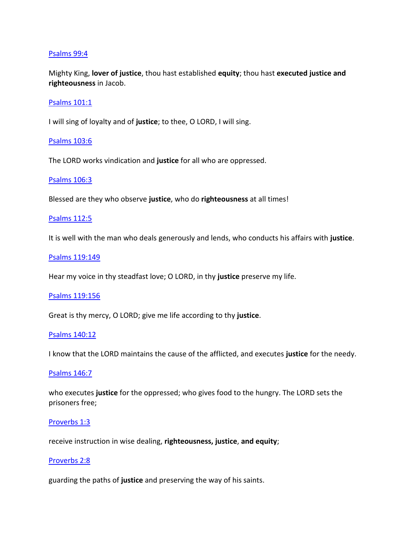## [Psalms](https://www.blueletterbible.org/rsv/psa/99/4/s_577004) 99:4

Mighty King, **lover of justice**, thou hast established **equity**; thou hast **executed justice and righteousness** in Jacob.

## [Psalms](https://www.blueletterbible.org/rsv/psa/101/1/s_579001) 101:1

I will sing of loyalty and of **justice**; to thee, O LORD, I will sing.

## [Psalms](https://www.blueletterbible.org/rsv/psa/103/6/s_581006) 103:6

The LORD works vindication and **justice** for all who are oppressed.

#### [Psalms](https://www.blueletterbible.org/rsv/psa/106/3/s_584003) 106:3

Blessed are they who observe **justice**, who do **righteousness** at all times!

#### [Psalms](https://www.blueletterbible.org/rsv/psa/112/5/s_590005) 112:5

It is well with the man who deals generously and lends, who conducts his affairs with **justice**.

#### Psalms [119:149](https://www.blueletterbible.org/rsv/psa/119/149/s_597149)

Hear my voice in thy steadfast love; O LORD, in thy **justice** preserve my life.

#### Psalms [119:156](https://www.blueletterbible.org/rsv/psa/119/156/s_597156)

Great is thy mercy, O LORD; give me life according to thy **justice**.

#### [Psalms](https://www.blueletterbible.org/rsv/psa/140/12/s_618012) 140:12

I know that the LORD maintains the cause of the afflicted, and executes **justice** for the needy.

#### [Psalms](https://www.blueletterbible.org/rsv/psa/146/7/s_624007) 146:7

who executes **justice** for the oppressed; who gives food to the hungry. The LORD sets the prisoners free;

#### [Proverbs](https://www.blueletterbible.org/rsv/pro/1/3/s_629003) 1:3

receive instruction in wise dealing, **righteousness, justice**, **and equity**;

#### [Proverbs](https://www.blueletterbible.org/rsv/pro/2/8/s_630008) 2:8

guarding the paths of **justice** and preserving the way of his saints.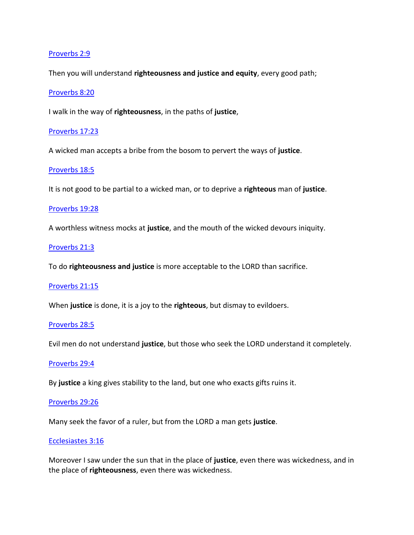## Proverbs 2:9

[Then you will](https://www.blueletterbible.org/rsv/pro/2/9/s_630009) understand **righteousness and justice and equity**, every good path;

#### [Proverbs](https://www.blueletterbible.org/rsv/pro/8/20/s_636020) 8:20

I walk in the way of **righteousness**, in the paths of **justice**,

#### [Proverbs](https://www.blueletterbible.org/rsv/pro/17/23/s_645023) 17:23

A wicked man accepts a bribe from the bosom to pervert the ways of **justice**.

#### [Proverbs](https://www.blueletterbible.org/rsv/pro/18/5/s_646005) 18:5

It is not good to be partial to a wicked man, or to deprive a **righteous** man of **justice**.

#### [Proverbs](https://www.blueletterbible.org/rsv/pro/19/28/s_647028) 19:28

A worthless witness mocks at **justice**, and the mouth of the wicked devours iniquity.

## [Proverbs](https://www.blueletterbible.org/rsv/pro/21/3/s_649003) 21:3

To do **righteousness and justice** is more acceptable to the LORD than sacrifice.

#### [Proverbs](https://www.blueletterbible.org/rsv/pro/21/15/s_649015) 21:15

When **justice** is done, it is a joy to the **righteous**, but dismay to evildoers.

#### [Proverbs](https://www.blueletterbible.org/rsv/pro/28/5/s_656005) 28:5

Evil men do not understand **justice**, but those who seek the LORD understand it completely.

#### [Proverbs](https://www.blueletterbible.org/rsv/pro/29/4/s_657004) 29:4

By **justice** a king gives stability to the land, but one who exacts gifts ruins it.

#### [Proverbs](https://www.blueletterbible.org/rsv/pro/29/26/s_657026) 29:26

Many seek the favor of a ruler, but from the LORD a man gets **justice**.

## [Ecclesiastes](https://www.blueletterbible.org/rsv/ecc/3/16/s_662016) 3:16

Moreover I saw under the sun that in the place of **justice**, even there was wickedness, and in the place of **righteousness**, even there was wickedness.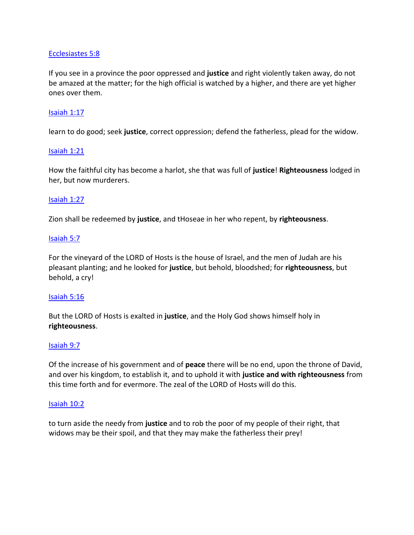## [Ecclesiastes](https://www.blueletterbible.org/rsv/ecc/5/8/s_664008) 5:8

If you see in a province the poor oppressed and **justice** and right violently taken away, do not be amazed at the matter; for the high official is watched by a higher, and there are yet higher ones over them.

## [Isaiah](https://www.blueletterbible.org/rsv/isa/1/17/s_680017) 1:17

learn to do good; seek **justice**, correct oppression; defend the fatherless, plead for the widow.

#### [Isaiah](https://www.blueletterbible.org/rsv/isa/1/21/s_680021) 1:21

How the faithful city has become a harlot, she that was full of **justice**! **Righteousness** lodged in her, but now murderers.

## [Isaiah](https://www.blueletterbible.org/rsv/isa/1/27/s_680027) 1:27

Zion shall be redeemed by **justice**, and tHoseae in her who repent, by **righteousness**.

## [Isaiah](https://www.blueletterbible.org/rsv/isa/5/7/s_684007) 5:7

For the vineyard of the LORD of Hosts is the house of Israel, and the men of Judah are his pleasant planting; and he looked for **justice**, but behold, bloodshed; for **righteousness**, but behold, a cry!

#### [Isaiah](https://www.blueletterbible.org/rsv/isa/5/16/s_684016) 5:16

But the LORD of Hosts is exalted in **justice**, and the Holy God shows himself holy in **righteousness**.

#### [Isaiah](https://www.blueletterbible.org/rsv/isa/9/7/s_688007) 9:7

Of the increase of his government and of **peace** there will be no end, upon the throne of David, and over his kingdom, to establish it, and to uphold it with **justice and with righteousness** from this time forth and for evermore. The zeal of the LORD of Hosts will do this.

#### [Isaiah](https://www.blueletterbible.org/rsv/isa/10/2/s_689002) 10:2

to turn aside the needy from **justice** and to rob the poor of my people of their right, that widows may be their spoil, and that they may make the fatherless their prey!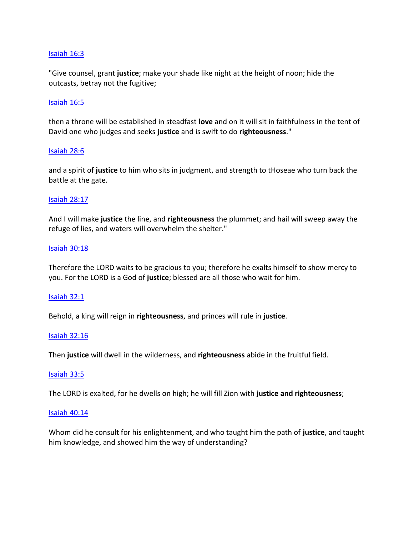## [Isaiah](https://www.blueletterbible.org/rsv/isa/16/3/s_695003) 16:3

"Give counsel, grant **justice**; make your shade like night at the height of noon; hide the outcasts, betray not the fugitive;

## [Isaiah](https://www.blueletterbible.org/rsv/isa/16/5/s_695005) 16:5

then a throne will be established in steadfast **love** and on it will sit in faithfulness in the tent of David one who judges and seeks **justice** and is swift to do **righteousness**."

#### [Isaiah](https://www.blueletterbible.org/rsv/isa/28/6/s_707006) 28:6

and a spirit of **justice** to him who sits in judgment, and strength to tHoseae who turn back the battle at the gate.

## [Isaiah](https://www.blueletterbible.org/rsv/isa/28/17/s_707017) 28:17

And I will make **justice** the line, and **righteousness** the plummet; and hail will sweep away the refuge of lies, and waters will overwhelm the shelter."

#### [Isaiah](https://www.blueletterbible.org/rsv/isa/30/18/s_709018) 30:18

Therefore the LORD waits to be gracious to you; therefore he exalts himself to show mercy to you. For the LORD is a God of **justice**; blessed are all those who wait for him.

#### [Isaiah](https://www.blueletterbible.org/rsv/isa/32/1/s_711001) 32:1

Behold, a king will reign in **righteousness**, and princes will rule in **justice**.

#### [Isaiah](https://www.blueletterbible.org/rsv/isa/32/16/s_711016) 32:16

Then **justice** will dwell in the wilderness, and **righteousness** abide in the fruitful field.

#### [Isaiah](https://www.blueletterbible.org/rsv/isa/33/5/s_712005) 33:5

The LORD is exalted, for he dwells on high; he will fill Zion with **justice and righteousness**;

#### [Isaiah](https://www.blueletterbible.org/rsv/isa/40/14/s_719014) 40:14

Whom did he consult for his enlightenment, and who taught him the path of **justice**, and taught him knowledge, and showed him the way of understanding?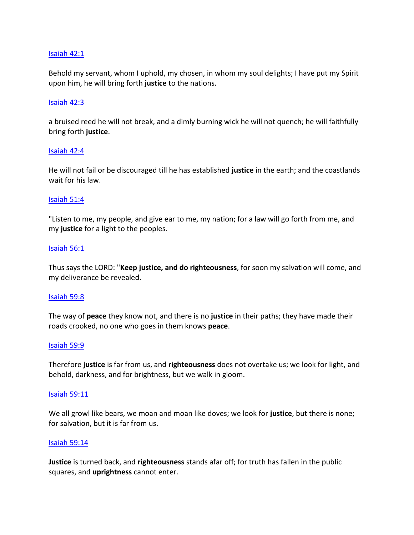## [Isaiah](https://www.blueletterbible.org/rsv/isa/42/1/s_721001) 42:1

Behold my servant, whom I uphold, my chosen, in whom my soul delights; I have put my Spirit upon him, he will bring forth **justice** to the nations.

## [Isaiah](https://www.blueletterbible.org/rsv/isa/42/3/s_721003) 42:3

a bruised reed he will not break, and a dimly burning wick he will not quench; he will faithfully bring forth **justice**.

#### [Isaiah](https://www.blueletterbible.org/rsv/isa/42/4/s_721004) 42:4

He will not fail or be discouraged till he has established **justice** in the earth; and the coastlands wait for his law.

## [Isaiah](https://www.blueletterbible.org/rsv/isa/51/4/s_730004) 51:4

"Listen to me, my people, and give ear to me, my nation; for a law will go forth from me, and my **justice** for a light to the peoples.

## [Isaiah](https://www.blueletterbible.org/rsv/isa/56/1/s_735001) 56:1

Thus says the LORD: "**Keep justice, and do righteousness**, for soon my salvation will come, and my deliverance be revealed.

#### [Isaiah](https://www.blueletterbible.org/rsv/isa/59/8/s_738008) 59:8

The way of **peace** they know not, and there is no **justice** in their paths; they have made their roads crooked, no one who goes in them knows **peace**.

#### [Isaiah](https://www.blueletterbible.org/rsv/isa/59/9/s_738009) 59:9

Therefore **justice** is far from us, and **righteousness** does not overtake us; we look for light, and behold, darkness, and for brightness, but we walk in gloom.

#### [Isaiah](https://www.blueletterbible.org/rsv/isa/59/11/s_738011) 59:11

We all growl like bears, we moan and moan like doves; we look for **justice**, but there is none; for salvation, but it is far from us.

#### [Isaiah](https://www.blueletterbible.org/rsv/isa/59/14/s_738014) 59:14

**Justice** is turned back, and **righteousness** stands afar off; for truth has fallen in the public squares, and **uprightness** cannot enter.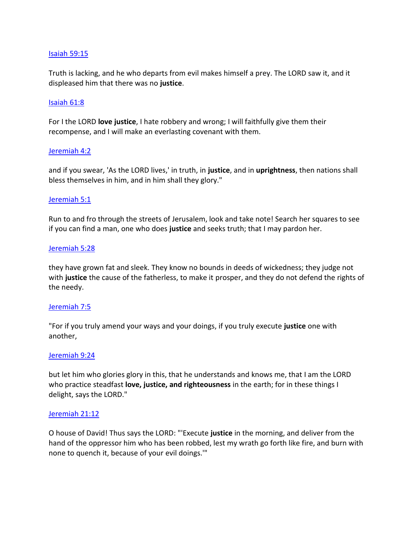## Isaiah 59:15

[Truth is lacki](https://www.blueletterbible.org/rsv/isa/59/15/s_738015)ng, and he who departs from evil makes himself a prey. The LORD saw it, and it displeased him that there was no **justice**.

## [Isaiah](https://www.blueletterbible.org/rsv/isa/61/8/s_740008) 61:8

For I the LORD **love justice**, I hate robbery and wrong; I will faithfully give them their recompense, and I will make an everlasting covenant with them.

## [Jeremiah](https://www.blueletterbible.org/rsv/jer/4/2/s_749002) 4:2

and if you swear, 'As the LORD lives,' in truth, in **justice**, and in **uprightness**, then nations shall bless themselves in him, and in him shall they glory."

## [Jeremiah](https://www.blueletterbible.org/rsv/jer/5/1/s_750001) 5:1

Run to and fro through the streets of Jerusalem, look and take note! Search her squares to see if you can find a man, one who does **justice** and seeks truth; that I may pardon her.

## [Jeremiah](https://www.blueletterbible.org/rsv/jer/5/28/s_750028) 5:28

they have grown fat and sleek. They know no bounds in deeds of wickedness; they judge not with **justice** the cause of the fatherless, to make it prosper, and they do not defend the rights of the needy.

#### [Jeremiah](https://www.blueletterbible.org/rsv/jer/7/5/s_752005) 7:5

"For if you truly amend your ways and your doings, if you truly execute **justice** one with another,

#### [Jeremiah](https://www.blueletterbible.org/rsv/jer/9/24/s_754024) 9:24

but let him who glories glory in this, that he understands and knows me, that I am the LORD who practice steadfast **love, justice, and righteousness** in the earth; for in these things I delight, says the LORD."

#### [Jeremiah](https://www.blueletterbible.org/rsv/jer/21/12/s_766012) 21:12

O house of David! Thus says the LORD: "'Execute **justice** in the morning, and deliver from the hand of the oppressor him who has been robbed, lest my wrath go forth like fire, and burn with none to quench it, because of your evil doings.'"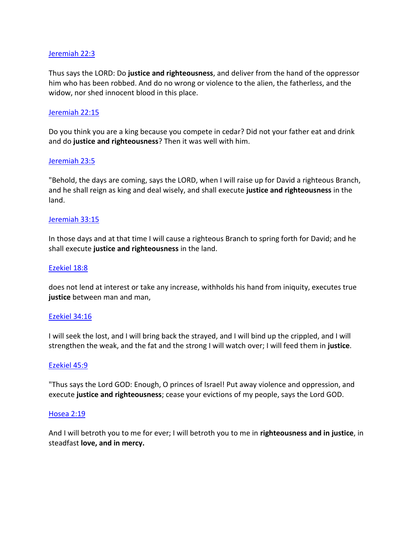## [Jeremiah](https://www.blueletterbible.org/rsv/jer/22/3/s_767003) 22:3

Thus says the LORD: Do **justice and righteousness**, and deliver from the hand of the oppressor him who has been robbed. And do no wrong or violence to the alien, the fatherless, and the widow, nor shed innocent blood in this place.

## [Jeremiah](https://www.blueletterbible.org/rsv/jer/22/15/s_767015) 22:15

Do you think you are a king because you compete in cedar? Did not your father eat and drink and do **justice and righteousness**? Then it was well with him.

## [Jeremiah](https://www.blueletterbible.org/rsv/jer/23/5/s_768005) 23:5

"Behold, the days are coming, says the LORD, when I will raise up for David a righteous Branch, and he shall reign as king and deal wisely, and shall execute **justice and righteousness** in the land.

## [Jeremiah](https://www.blueletterbible.org/rsv/jer/33/15/s_778015) 33:15

In those days and at that time I will cause a righteous Branch to spring forth for David; and he shall execute **justice and righteousness** in the land.

#### [Ezekiel](https://www.blueletterbible.org/rsv/eze/18/8/s_820008) 18:8

does not lend at interest or take any increase, withholds his hand from iniquity, executes true **justice** between man and man,

#### [Ezekiel](https://www.blueletterbible.org/rsv/eze/34/16/s_836016) 34:16

I will seek the lost, and I will bring back the strayed, and I will bind up the crippled, and I will strengthen the weak, and the fat and the strong I will watch over; I will feed them in **justice**.

#### [Ezekiel](https://www.blueletterbible.org/rsv/eze/45/9/s_847009) 45:9

"Thus says the Lord GOD: Enough, O princes of Israel! Put away violence and oppression, and execute **justice and righteousness**; cease your evictions of my people, says the Lord GOD.

#### [Hosea](https://www.blueletterbible.org/rsv/hos/2/19/s_864019) 2:19

And I will betroth you to me for ever; I will betroth you to me in **righteousness and in justice**, in steadfast **love, and in mercy.**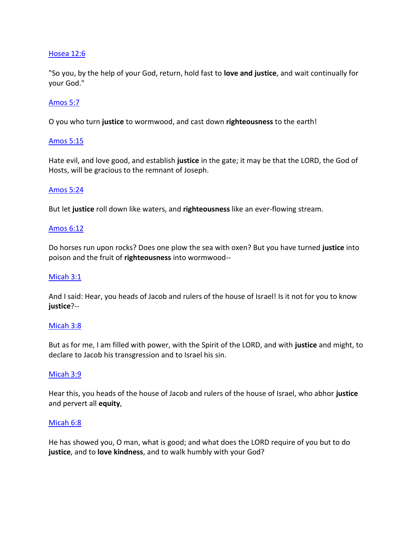## [Hosea](https://www.blueletterbible.org/rsv/hos/12/6/s_874006) 12:6

"So you, by the help of your God, return, hold fast to **love and justice**, and wait continually for your God."

## [Amos](https://www.blueletterbible.org/rsv/amo/5/7/s_884007) 5:7

O you who turn **justice** to wormwood, and cast down **righteousness** to the earth!

## [Amos](https://www.blueletterbible.org/rsv/amo/5/15/s_884015) 5:15

Hate evil, and love good, and establish **justice** in the gate; it may be that the LORD, the God of Hosts, will be gracious to the remnant of Joseph.

## [Amos](https://www.blueletterbible.org/rsv/amo/5/24/s_884024) 5:24

But let **justice** roll down like waters, and **righteousness** like an ever-flowing stream.

## [Amos](https://www.blueletterbible.org/rsv/amo/6/12/s_885012) 6:12

Do horses run upon rocks? Does one plow the sea with oxen? But you have turned **justice** into poison and the fruit of **righteousness** into wormwood--

#### [Micah](https://www.blueletterbible.org/rsv/mic/3/1/s_896001) 3:1

And I said: Hear, you heads of Jacob and rulers of the house of Israel! Is it not for you to know **justice**?--

#### [Micah](https://www.blueletterbible.org/rsv/mic/3/8/s_896008) 3:8

But as for me, I am filled with power, with the Spirit of the LORD, and with **justice** and might, to declare to Jacob his transgression and to Israel his sin.

#### [Micah](https://www.blueletterbible.org/rsv/mic/3/9/s_896009) 3:9

Hear this, you heads of the house of Jacob and rulers of the house of Israel, who abhor **justice** and pervert all **equity**,

#### [Micah](https://www.blueletterbible.org/rsv/mic/6/8/s_899008) 6:8

He has showed you, O man, what is good; and what does the LORD require of you but to do **justice**, and to **love kindness**, and to walk humbly with your God?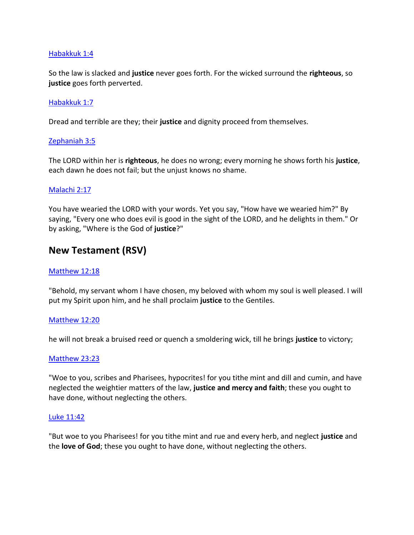## [Habakkuk](https://www.blueletterbible.org/rsv/hab/1/4/s_904004) 1:4

So the law is slacked and **justice** never goes forth. For the wicked surround the **righteous**, so **justice** goes forth perverted.

## [Habakkuk](https://www.blueletterbible.org/rsv/hab/1/7/s_904007) 1:7

Dread and terrible are they; their **justice** and dignity proceed from themselves.

## [Zephaniah](https://www.blueletterbible.org/rsv/zep/3/5/s_909005) 3:5

The LORD within her is **righteous**, he does no wrong; every morning he shows forth his **justice**, each dawn he does not fail; but the unjust knows no shame.

## [Malachi](https://www.blueletterbible.org/rsv/mal/2/17/s_927017) 2:17

You have wearied the LORD with your words. Yet you say, "How have we wearied him?" By saying, "Every one who does evil is good in the sight of the LORD, and he delights in them." Or by asking, "Where is the God of **justice**?"

## **New Testament (RSV)**

#### [Matthew](https://www.blueletterbible.org/rsv/mat/12/18/s_941018) 12:18

"Behold, my servant whom I have chosen, my beloved with whom my soul is well pleased. I will put my Spirit upon him, and he shall proclaim **justice** to the Gentiles.

#### [Matthew](https://www.blueletterbible.org/rsv/mat/12/20/s_941020) 12:20

he will not break a bruised reed or quench a smoldering wick, till he brings **justice** to victory;

#### [Matthew](https://www.blueletterbible.org/rsv/mat/23/23/s_952023) 23:23

"Woe to you, scribes and Pharisees, hypocrites! for you tithe mint and dill and cumin, and have neglected the weightier matters of the law, **justice and mercy and faith**; these you ought to have done, without neglecting the others.

#### Luke [11:42](https://www.blueletterbible.org/rsv/luk/11/42/s_984042)

"But woe to you Pharisees! for you tithe mint and rue and every herb, and neglect **justice** and the **love of God**; these you ought to have done, without neglecting the others.